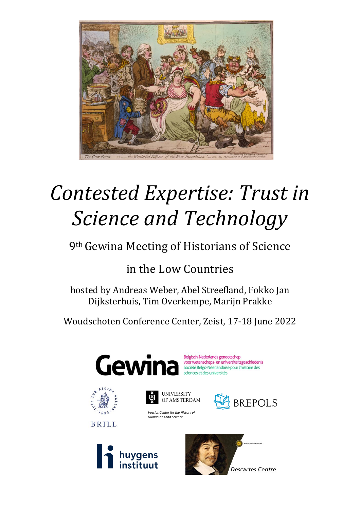

# *Contested Expertise: Trust in Science and Technology*

# 9th Gewina Meeting of Historians of Science

# in the Low Countries

hosted by Andreas Weber, Abel Streefland, Fokko Jan Dijksterhuis, Tim Overkempe, Marijn Prakke

Woudschoten Conference Center, Zeist, 17-18 June 2022





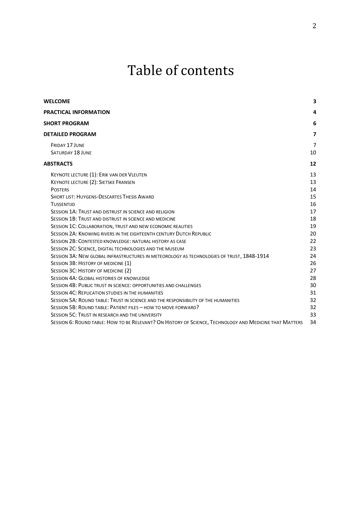# Table of contents

| <b>WELCOME</b>                                                                                          | 3              |
|---------------------------------------------------------------------------------------------------------|----------------|
| <b>PRACTICAL INFORMATION</b>                                                                            | 4              |
| <b>SHORT PROGRAM</b>                                                                                    | 6              |
| <b>DETAILED PROGRAM</b>                                                                                 | $\overline{7}$ |
| <b>FRIDAY 17 JUNE</b>                                                                                   | $\overline{7}$ |
| <b>SATURDAY 18 JUNE</b>                                                                                 | 10             |
| <b>ABSTRACTS</b>                                                                                        | 12             |
| KEYNOTE LECTURE (1): ERIK VAN DER VLEUTEN                                                               | 13             |
| KEYNOTE LECTURE (2): SIETSKE FRANSEN                                                                    | 13             |
| <b>POSTERS</b>                                                                                          | 14             |
| <b>SHORT LIST: HUYGENS-DESCARTES THESIS AWARD</b>                                                       | 15             |
| <b>TUSSENTIJD</b>                                                                                       | 16             |
| SESSION 1A: TRUST AND DISTRUST IN SCIENCE AND RELIGION                                                  | 17             |
| SESSION 1B: TRUST AND DISTRUST IN SCIENCE AND MEDICINE                                                  | 18             |
| SESSION 1C: COLLABORATION, TRUST AND NEW ECONOMIC REALITIES                                             | 19             |
| SESSION 2A: KNOWING RIVERS IN THE EIGHTEENTH CENTURY DUTCH REPUBLIC                                     | 20             |
| SESSION 2B: CONTESTED KNOWLEDGE: NATURAL HISTORY AS CASE                                                | 22             |
| SESSION 2C: SCIENCE, DIGITAL TECHNOLOGIES AND THE MUSEUM                                                | 23             |
| SESSION 3A: NEW GLOBAL INFRASTRUCTURES IN METEOROLOGY AS TECHNOLOGIES OF TRUST, 1848-1914               | 24             |
| SESSION 3B: HISTORY OF MEDICINE (1)                                                                     | 26             |
| SESSION 3C: HISTORY OF MEDICINE (2)                                                                     | 27             |
| <b>SESSION 4A: GLOBAL HISTORIES OF KNOWLEDGE</b>                                                        | 28             |
| SESSION 4B: PUBLIC TRUST IN SCIENCE: OPPORTUNITIES AND CHALLENGES                                       | 30             |
| SESSION 4C: REPLICATION STUDIES IN THE HUMANITIES                                                       | 31             |
| SESSION 5A: ROUND TABLE: TRUST IN SCIENCE AND THE RESPONSIBILITY OF THE HUMANITIES                      | 32             |
| SESSION 5B: ROUND TABLE: PATIENT FILES - HOW TO MOVE FORWARD?                                           | 32             |
| SESSION 5C: TRUST IN RESEARCH AND THE UNIVERSITY                                                        | 33             |
| SESSION 6: ROUND TABLE: HOW TO BE RELEVANT? ON HISTORY OF SCIENCE, TECHNOLOGY AND MEDICINE THAT MATTERS | 34             |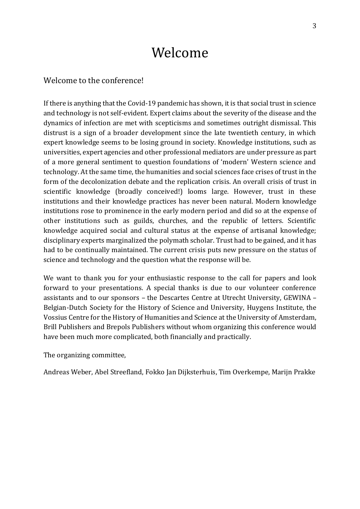# Welcome

# <span id="page-2-0"></span>Welcome to the conference!

If there is anything that the Covid-19 pandemic has shown, it is that social trust in science and technology is not self-evident. Expert claims about the severity of the disease and the dynamics of infection are met with scepticisms and sometimes outright dismissal. This distrust is a sign of a broader development since the late twentieth century, in which expert knowledge seems to be losing ground in society. Knowledge institutions, such as universities, expert agencies and other professional mediators are under pressure as part of a more general sentiment to question foundations of 'modern' Western science and technology. At the same time, the humanities and social sciences face crises of trust in the form of the decolonization debate and the replication crisis. An overall crisis of trust in scientific knowledge (broadly conceived!) looms large. However, trust in these institutions and their knowledge practices has never been natural. Modern knowledge institutions rose to prominence in the early modern period and did so at the expense of other institutions such as guilds, churches, and the republic of letters. Scientific knowledge acquired social and cultural status at the expense of artisanal knowledge; disciplinary experts marginalized the polymath scholar. Trust had to be gained, and it has had to be continually maintained. The current crisis puts new pressure on the status of science and technology and the question what the response will be.

We want to thank you for your enthusiastic response to the call for papers and look forward to your presentations. A special thanks is due to our volunteer conference assistants and to our sponsors – the Descartes Centre at Utrecht University, GEWINA – Belgian-Dutch Society for the History of Science and University, Huygens Institute, the Vossius Centre for the History of Humanities and Science at the University of Amsterdam, Brill Publishers and Brepols Publishers without whom organizing this conference would have been much more complicated, both financially and practically.

The organizing committee,

Andreas Weber, Abel Streefland, Fokko Jan Dijksterhuis, Tim Overkempe, Marijn Prakke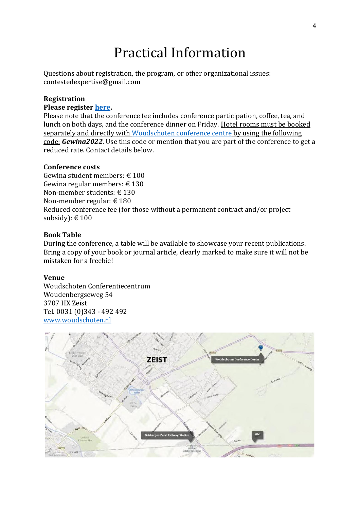# Practical Information

<span id="page-3-0"></span>Questions about registration, the program, or other organizational issues: contestedexpertise@gmail.com

### **Registration**

#### **Please registe[r here.](https://www.aanmelder.nl/133632/subscribe)**

Please note that the conference fee includes conference participation, coffee, tea, and lunch on both days, and the conference dinner on Friday. Hotel rooms must be booked separately and directly with [Woudschoten conference centre](https://www.woudschoten.nl/en/) by using the following code: *Gewina2022*. Use this code or mention that you are part of the conference to get a reduced rate. Contact details below.

### **Conference costs**

Gewina student members: € 100 Gewina regular members:  $\in$  130 Non-member students: € 130 Non-member regular: € 180 Reduced conference fee (for those without a permanent contract and/or project subsidy):  $\text{\large\ensuremath{\in}} 100$ 

#### **Book Table**

During the conference, a table will be available to showcase your recent publications. Bring a copy of your book or journal article, clearly marked to make sure it will not be mistaken for a freebie!

#### **Venue**

Woudschoten Conferentiecentrum Woudenbergseweg 54 3707 HX Zeist Tel. 0031 (0)343 - 492 492 [www.woudschoten.nl](http://www.woudschoten.nl/)

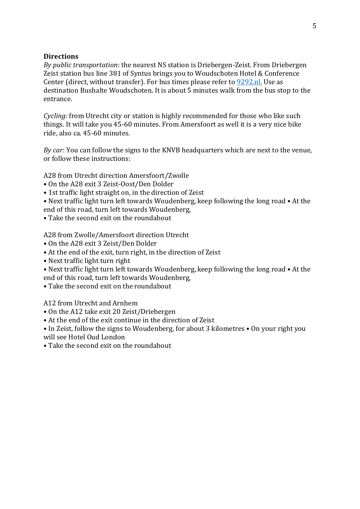# **Directions**

*By public transportation*: the nearest NS station is Driebergen-Zeist. From Driebergen Zeist station bus line 381 of Syntus brings you to Woudschoten Hotel & Conference Center (direct, without transfer). For bus times please refer to [9292.nl.](https://9292.nl/en) Use as destination Bushalte Woudschoten. It is about 5 minutes walk from the bus stop to the entrance.

*Cycling:* from Utrecht city or station is highly recommended for those who like such things. It will take you 45-60 minutes. From Amersfoort as well it is a very nice bike ride, also ca. 45-60 minutes.

*By car*: You can follow the signs to the KNVB headquarters which are next to the venue, or follow these instructions:

A28 from Utrecht direction Amersfoort/Zwolle

- On the A28 exit 3 Zeist-Oost/Den Dolder
- 1st traffic light straight on, in the direction of Zeist
- Next traffic light turn left towards Woudenberg, keep following the long road At the end of this road, turn left towards Woudenberg,
- Take the second exit on the roundabout

A28 from Zwolle/Amersfoort direction Utrecht

- On the A28 exit 3 Zeist/Den Dolder
- At the end of the exit, turn right, in the direction of Zeist
- Next traffic light turn right
- Next traffic light turn left towards Woudenberg, keep following the long road At the end of this road, turn left towards Woudenberg,
- Take the second exit on the roundabout

A12 from Utrecht and Arnhem

- On the A12 take exit 20 Zeist/Driebergen
- At the end of the exit continue in the direction of Zeist
- In Zeist, follow the signs to Woudenberg, for about 3 kilometres On your right you will see Hotel Oud London
- Take the second exit on the roundabout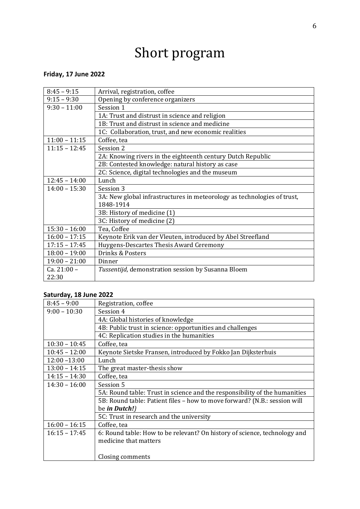# Short program

# <span id="page-5-0"></span>**Friday, 17 June 2022**

| $8:45 - 9:15$   | Arrival, registration, coffee                                           |
|-----------------|-------------------------------------------------------------------------|
| $9:15 - 9:30$   | Opening by conference organizers                                        |
| $9:30 - 11:00$  | Session 1                                                               |
|                 | 1A: Trust and distrust in science and religion                          |
|                 | 1B: Trust and distrust in science and medicine                          |
|                 | 1C: Collaboration, trust, and new economic realities                    |
| $11:00 - 11:15$ | Coffee, tea                                                             |
| $11:15 - 12:45$ | Session 2                                                               |
|                 | 2A: Knowing rivers in the eighteenth century Dutch Republic             |
|                 | 2B: Contested knowledge: natural history as case                        |
|                 | 2C: Science, digital technologies and the museum                        |
| $12:45 - 14:00$ | Lunch                                                                   |
| $14:00 - 15:30$ | Session 3                                                               |
|                 | 3A: New global infrastructures in meteorology as technologies of trust, |
|                 | 1848-1914                                                               |
|                 | 3B: History of medicine (1)                                             |
|                 | 3C: History of medicine (2)                                             |
| $15:30 - 16:00$ | Tea, Coffee                                                             |
| $16:00 - 17:15$ | Keynote Erik van der Vleuten, introduced by Abel Streefland             |
| $17:15 - 17:45$ | Huygens-Descartes Thesis Award Ceremony                                 |
| $18:00 - 19:00$ | Drinks & Posters                                                        |
| $19:00 - 21:00$ | Dinner                                                                  |
| $Ca. 21:00 -$   | Tussentijd, demonstration session by Susanna Bloem                      |
| 22:30           |                                                                         |

# **Saturday, 18 June 2022**

| $8:45 - 9:00$   | Registration, coffee                                                       |
|-----------------|----------------------------------------------------------------------------|
| $9:00 - 10:30$  | Session 4                                                                  |
|                 | 4A: Global histories of knowledge                                          |
|                 | 4B: Public trust in science: opportunities and challenges                  |
|                 | 4C: Replication studies in the humanities                                  |
| $10:30 - 10:45$ | Coffee, tea                                                                |
| $10:45 - 12:00$ | Keynote Sietske Fransen, introduced by Fokko Jan Dijksterhuis              |
| $12:00 - 13:00$ | Lunch                                                                      |
| $13:00 - 14:15$ | The great master-thesis show                                               |
| $14:15 - 14:30$ | Coffee, tea                                                                |
| $14:30 - 16:00$ | Session 5                                                                  |
|                 | 5A: Round table: Trust in science and the responsibility of the humanities |
|                 | 5B: Round table: Patient files - how to move forward? (N.B.: session will  |
|                 | be in Dutch!)                                                              |
|                 | 5C: Trust in research and the university                                   |
| $16:00 - 16:15$ | Coffee, tea                                                                |
| $16:15 - 17:45$ | 6: Round table: How to be relevant? On history of science, technology and  |
|                 | medicine that matters                                                      |
|                 |                                                                            |
|                 | Closing comments                                                           |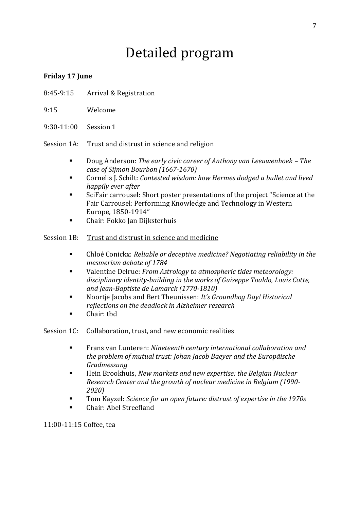# Detailed program

# <span id="page-6-1"></span><span id="page-6-0"></span>**Friday 17 June**

- 8:45-9:15 Arrival & Registration
- 9:15 Welcome
- 9:30-11:00 Session 1

# Session 1A: Trust and distrust in science and religion

- Doug Anderson: *The early civic career of Anthony van Leeuwenhoek – The case of Sijmon Bourbon (1667-1670)*
- Cornelis J. Schilt: *Contested wisdom: how Hermes dodged a bullet and lived happily ever after*
- SciFair carrousel: Short poster presentations of the project "Science at the Fair Carrousel: Performing Knowledge and Technology in Western Europe, 1850-1914"
- Chair: Fokko Jan Dijksterhuis

# Session 1B: Trust and distrust in science and medicine

- Chloé Conickx: *Reliable or deceptive medicine? Negotiating reliability in the mesmerism debate of 1784*
- Valentine Delrue: *From Astrology to atmospheric tides meteorology: disciplinary identity-building in the works of Guiseppe Toaldo, Louis Cotte, and Jean-Baptiste de Lamarck (1770-1810)*
- Noortie Jacobs and Bert Theunissen: *It's Groundhog Day! Historical reflections on the deadlock in Alzheimer research*
- Chair: thd

Session 1C: Collaboration, trust, and new economic realities

- Frans van Lunteren: *Nineteenth century international collaboration and the problem of mutual trust: Johan Jacob Baeyer and the Europäische Gradmessung*
- Hein Brookhuis, *New markets and new expertise: the Belgian Nuclear Research Center and the growth of nuclear medicine in Belgium (1990- 2020)*
- Tom Kayzel: *Science for an open future: distrust of expertise in the 1970s*
- Chair: Abel Streefland

11:00-11:15 Coffee, tea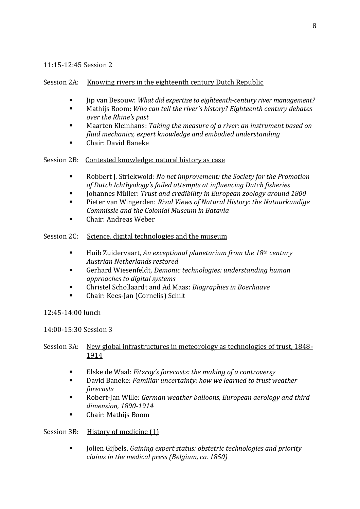# 11:15-12:45 Session 2

# Session 2A: Knowing rivers in the eighteenth century Dutch Republic

- Jip van Besouw: *What did expertise to eighteenth-century river management?*
- Mathijs Boom: Who can tell the river's history? Eighteenth century debates *over the Rhine's past*
- Maarten Kleinhans: *Taking the measure of a river: an instrument based on fluid mechanics, expert knowledge and embodied understanding*
- Chair: David Baneke

Session 2B: Contested knowledge: natural history as case

- Robbert J. Striekwold: *No net improvement: the Society for the Promotion of Dutch Ichthyology's failed attempts at influencing Dutch fisheries*
- Johannes Müller: *Trust and credibility in European zoology around 1800*
- Pieter van Wingerden: *Rival Views of Natural History: the Natuurkundige Commissie and the Colonial Museum in Batavia*
- Chair: Andreas Weber

# Session 2C: Science, digital technologies and the museum

- Huib Zuidervaart, *An exceptional planetarium from the 18th century Austrian Netherlands restored*
- Gerhard Wiesenfeldt, *Demonic technologies: understanding human approaches to digital systems*
- Christel Schollaardt and Ad Maas: *Biographies in Boerhaave*
- Chair: Kees-Jan (Cornelis) Schilt
- 12:45-14:00 lunch

# 14:00-15:30 Session 3

# Session 3A: New global infrastructures in meteorology as technologies of trust, 1848-1914

- Elske de Waal: *Fitzroy's forecasts: the making of a controversy*
- David Baneke: *Familiar uncertainty: how we learned to trust weather forecasts*
- Robert-Jan Wille: *German weather balloons, European aerology and third dimension, 1890-1914*
- Chair: Mathijs Boom

# Session 3B: History of medicine (1)

▪ Jolien Gijbels, *Gaining expert status: obstetric technologies and priority claims in the medical press (Belgium, ca. 1850)*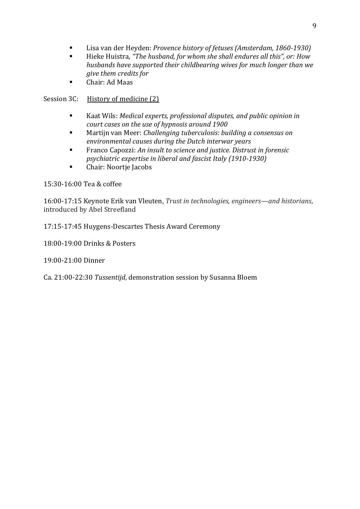- Lisa van der Heyden: *Provence history of fetuses (Amsterdam, 1860-1930)*
- Hieke Huistra, *"The husband, for whom she shall endures all this", or: How husbands have supported their childbearing wives for much longer than we give them credits for*
- Chair: Ad Maas

# Session 3C: History of medicine (2)

- Kaat Wils: *Medical experts, professional disputes, and public opinion in court cases on the use of hypnosis around 1900*
- Martijn van Meer: *Challenging tuberculosis: building a consensus on environmental causes during the Dutch interwar years*
- Franco Capozzi: *An insult to science and justice. Distrust in forensic psychiatric expertise in liberal and fascist Italy (1910-1930)*
- Chair: Noortje Jacobs

# 15:30-16:00 Tea & coffee

16:00-17:15 Keynote Erik van Vleuten, *Trust in technologies, engineers—and historians*, introduced by Abel Streefland

17:15-17:45 Huygens-Descartes Thesis Award Ceremony

18:00-19:00 Drinks & Posters

19:00-21:00 Dinner

Ca. 21:00-22:30 *Tussentijd*, demonstration session by Susanna Bloem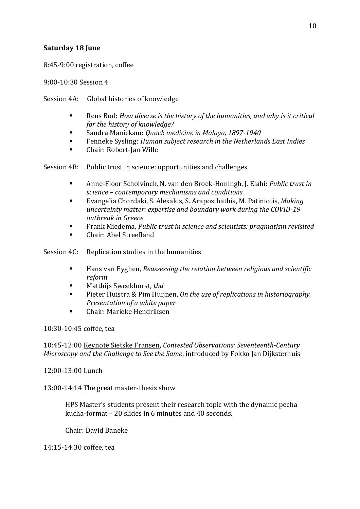# <span id="page-9-0"></span>**Saturday 18 June**

8:45-9:00 registration, coffee

9:00-10:30 Session 4

# Session 4A: Global histories of knowledge

- Rens Bod: *How diverse is the history of the humanities, and why is it critical for the history of knowledge?*
- Sandra Manickam: *Quack medicine in Malaya, 1897-1940*
- Fenneke Sysling: *Human subject research in the Netherlands East Indies*
- Chair: Robert-Jan Wille

# Session 4B: Public trust in science: opportunities and challenges

- Anne-Floor Scholvinck, N. van den Broek-Honingh, J. Elahi: *Public trust in science – contemporary mechanisms and conditions*
- Evangelia Chordaki, S. Alexakis, S. Araposthathis, M. Patiniotis, *Making uncertainty matter: expertise and boundary work during the COVID-19 outbreak in Greece*
- Frank Miedema, *Public trust in science and scientists: pragmatism revisited*
- Chair: Abel Streefland

# Session 4C: Replication studies in the humanities

- Hans van Eyghen, *Reassessing the relation between religious and scientific reform*
- Matthijs Sweekhorst, *tbd*
- Pieter Huistra & Pim Huijnen, *On the use of replications in historiography. Presentation of a white paper*
- Chair: Marieke Hendriksen

10:30-10:45 coffee, tea

10:45-12:00 Keynote Sietske Fransen, *Contested Observations: Seventeenth-Century Microscopy and the Challenge to See the Same*, introduced by Fokko Jan Dijksterhuis

# 12:00-13:00 Lunch

# 13:00-14:14 The great master-thesis show

HPS Master's students present their research topic with the dynamic pecha kucha-format – 20 slides in 6 minutes and 40 seconds.

Chair: David Baneke

14:15-14:30 coffee, tea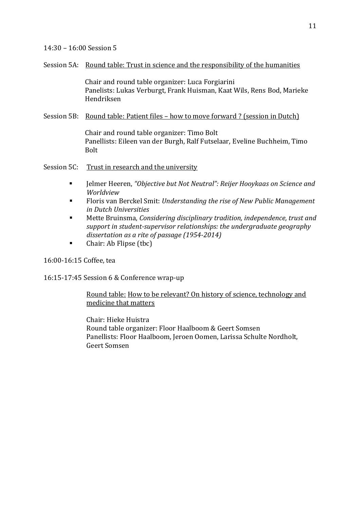### 14:30 – 16:00 Session 5

#### Session 5A: Round table: Trust in science and the responsibility of the humanities

Chair and round table organizer: Luca Forgiarini Panelists: Lukas Verburgt, Frank Huisman, Kaat Wils, Rens Bod, Marieke Hendriksen

# Session 5B: Round table: Patient files – how to move forward ? (session in Dutch)

Chair and round table organizer: Timo Bolt Panellists: Eileen van der Burgh, Ralf Futselaar, Eveline Buchheim, Timo Bolt

Session 5C: Trust in research and the university

- Jelmer Heeren, *"Objective but Not Neutral": Reijer Hooykaas on Science and Worldview*
- Floris van Berckel Smit: *Understanding the rise of New Public Management in Dutch Universities*
- Mette Bruinsma, *Considering disciplinary tradition, independence, trust and support in student-supervisor relationships: the undergraduate geography dissertation as a rite of passage (1954-2014)*
- Chair: Ab Flipse (tbc)

16:00-16:15 Coffee, tea

16:15-17:45 Session 6 & Conference wrap-up

# Round table: How to be relevant? On history of science, technology and medicine that matters

Chair: Hieke Huistra Round table organizer: Floor Haalboom & Geert Somsen Panellists: Floor Haalboom, Jeroen Oomen, Larissa Schulte Nordholt, Geert Somsen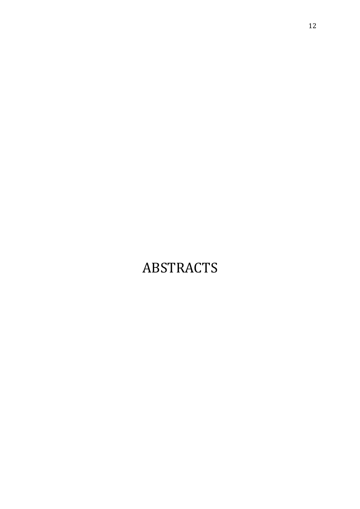# <span id="page-11-0"></span>ABSTRACTS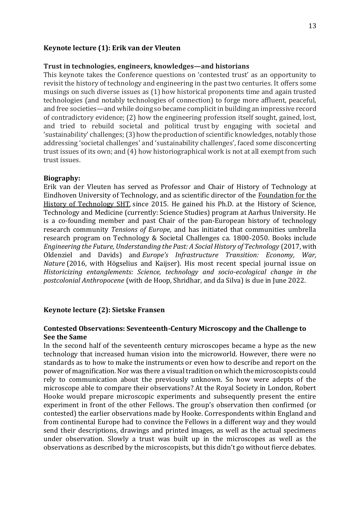#### <span id="page-12-0"></span>**Keynote lecture (1): Erik van der Vleuten**

#### **Trust in technologies, engineers, knowledges—and historians**

This keynote takes the Conference questions on 'contested trust' as an opportunity to revisit the history of technology and engineering in the past two centuries. It offers some musings on such diverse issues as (1) how historical proponents time and again trusted technologies (and notably technologies of connection) to forge more affluent, peaceful, and free societies—and while doing so became complicit in building an impressive record of contradictory evidence; (2) how the engineering profession itself sought, gained, lost, and tried to rebuild societal and political trust by engaging with societal and 'sustainability' challenges; (3) how the production of scientific knowledges, notably those addressing 'societal challenges' and 'sustainability challenges', faced some disconcerting trust issues of its own; and (4) how historiographical work is not at all exempt from such trust issues.

#### **Biography:**

Erik van der Vleuten has served as Professor and Chair of History of Technology at Eindhoven University of Technology, and as scientific director of the [Foundation for the](https://www.transitiestudies.nl/)  [History of Technology SHT,](https://www.transitiestudies.nl/) since 2015. He gained his Ph.D. at the History of Science, Technology and Medicine (currently: Science Studies) program at Aarhus University. He is a co-founding member and past Chair of the pan-European history of technology research community *Tensions of Europ[e,](https://www.tensionsofeurope.eu/)* and has initiated that communities umbrella research program on Technology & Societal Challenges ca. 1800-2050. Books include *Engineering the Future, Understanding the Past: A Social History of Technology* (2017, with Oldenziel and Davids) and*Europe's Infrastructure Transition: Economy, War, Nature* (2016, with Högselius and Kaijser). His most recent special journal issue on *Historicizing entanglements: Science, technology and socio-ecological change in the postcolonial Anthropocene* (with de Hoop, Shridhar, and da Silva) is due in June 2022.

#### <span id="page-12-1"></span>**Keynote lecture (2): Sietske Fransen**

#### **Contested Observations: Seventeenth-Century Microscopy and the Challenge to See the Same**

In the second half of the seventeenth century microscopes became a hype as the new technology that increased human vision into the microworld. However, there were no standards as to how to make the instruments or even how to describe and report on the power of magnification. Nor was there a visual tradition on which the microscopists could rely to communication about the previously unknown. So how were adepts of the microscope able to compare their observations? At the Royal Society in London, Robert Hooke would prepare microscopic experiments and subsequently present the entire experiment in front of the other Fellows. The group's observation then confirmed (or contested) the earlier observations made by Hooke. Correspondents within England and from continental Europe had to convince the Fellows in a different way and they would send their descriptions, drawings and printed images, as well as the actual specimens under observation. Slowly a trust was built up in the microscopes as well as the observations as described by the microscopists, but this didn't go without fierce debates.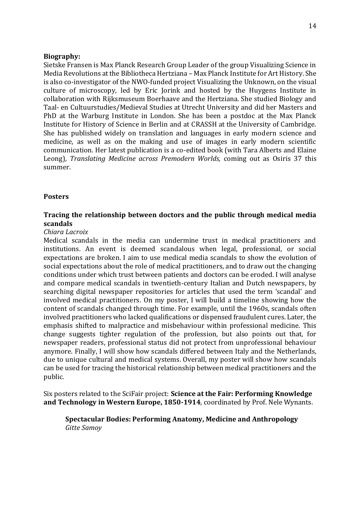#### **Biography:**

Sietske Fransen is Max Planck Research Group Leader of the group Visualizing Science in Media Revolutions at the Bibliotheca Hertziana – Max Planck Institute for Art History. She is also co-investigator of the NWO-funded project Visualizing the Unknown, on the visual culture of microscopy, led by Eric Jorink and hosted by the Huygens Institute in collaboration with Rijksmuseum Boerhaave and the Hertziana. She studied Biology and Taal- en Cultuurstudies/Medieval Studies at Utrecht University and did her Masters and PhD at the Warburg Institute in London. She has been a postdoc at the Max Planck Institute for History of Science in Berlin and at CRASSH at the University of Cambridge. She has published widely on translation and languages in early modern science and medicine, as well as on the making and use of images in early modern scientific communication. Her latest publication is a co-edited book (with Tara Alberts and Elaine Leong), *Translating Medicine across Premodern Worlds,* coming out as Osiris 37 this summer.

### <span id="page-13-0"></span>**Posters**

# **Tracing the relationship between doctors and the public through medical media scandals**

#### *Chiara Lacroix*

Medical scandals in the media can undermine trust in medical practitioners and institutions. An event is deemed scandalous when legal, professional, or social expectations are broken. I aim to use medical media scandals to show the evolution of social expectations about the role of medical practitioners, and to draw out the changing conditions under which trust between patients and doctors can be eroded. I will analyse and compare medical scandals in twentieth-century Italian and Dutch newspapers, by searching digital newspaper repositories for articles that used the term 'scandal' and involved medical practitioners. On my poster, I will build a timeline showing how the content of scandals changed through time. For example, until the 1960s, scandals often involved practitioners who lacked qualifications or dispensed fraudulent cures. Later, the emphasis shifted to malpractice and misbehaviour within professional medicine. This change suggests tighter regulation of the profession, but also points out that, for newspaper readers, professional status did not protect from unprofessional behaviour anymore. Finally, I will show how scandals differed between Italy and the Netherlands, due to unique cultural and medical systems. Overall, my poster will show how scandals can be used for tracing the historical relationship between medical practitioners and the public.

Six posters related to the SciFair project: **Science at the Fair: Performing Knowledge and Technology in Western Europe, 1850-1914**, coordinated by Prof. Nele Wynants.

**Spectacular Bodies: Performing Anatomy, Medicine and Anthropology** *Gitte Samoy*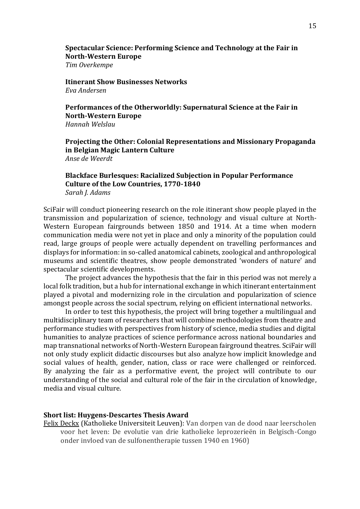**Spectacular Science: Performing Science and Technology at the Fair in North-Western Europe**

*Tim Overkempe*

**Itinerant Show Businesses Networks** *Eva Andersen*

**Performances of the Otherworldly: Supernatural Science at the Fair in North-Western Europe** *Hannah Welslau*

**Projecting the Other: Colonial Representations and Missionary Propaganda in Belgian Magic Lantern Culture** *Anse de Weerdt*

#### **Blackface Burlesques: Racialized Subjection in Popular Performance Culture of the Low Countries, 1770-1840** *Sarah J. Adams*

SciFair will conduct pioneering research on the role itinerant show people played in the transmission and popularization of science, technology and visual culture at North-Western European fairgrounds between 1850 and 1914. At a time when modern communication media were not yet in place and only a minority of the population could read, large groups of people were actually dependent on travelling performances and displays for information: in so-called anatomical cabinets, zoological and anthropological museums and scientific theatres, show people demonstrated 'wonders of nature' and spectacular scientific developments.

The project advances the hypothesis that the fair in this period was not merely a local folk tradition, but a hub for international exchange in which itinerant entertainment played a pivotal and modernizing role in the circulation and popularization of science amongst people across the social spectrum, relying on efficient international networks.

In order to test this hypothesis, the project will bring together a multilingual and multidisciplinary team of researchers that will combine methodologies from theatre and performance studies with perspectives from history of science, media studies and digital humanities to analyze practices of science performance across national boundaries and map transnational networks of North-Western European fairground theatres. SciFair will not only study explicit didactic discourses but also analyze how implicit knowledge and social values of health, gender, nation, class or race were challenged or reinforced. By analyzing the fair as a performative event, the project will contribute to our understanding of the social and cultural role of the fair in the circulation of knowledge, media and visual culture.

#### <span id="page-14-0"></span>**Short list: Huygens-Descartes Thesis Award**

Felix Deckx (Katholieke Universiteit Leuven): Van dorpen van de dood naar leerscholen voor het leven: De evolutie van drie katholieke leprozerieën in Belgisch-Congo onder invloed van de sulfonentherapie tussen 1940 en 1960)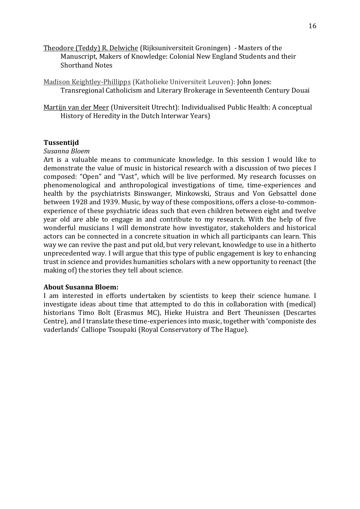Theodore (Teddy) R. Delwiche (Rijksuniversiteit Groningen) - Masters of the Manuscript, Makers of Knowledge: Colonial New England Students and their Shorthand Notes

Madison Keightley-Phillipps (Katholieke Universiteit Leuven): John Jones: Transregional Catholicism and Literary Brokerage in Seventeenth Century Douai

Martijn van der Meer (Universiteit Utrecht): Individualised Public Health: A conceptual History of Heredity in the Dutch Interwar Years)

### <span id="page-15-0"></span>**Tussentijd**

#### *Susanna Bloem*

Art is a valuable means to communicate knowledge. In this session I would like to demonstrate the value of music in historical research with a discussion of two pieces I composed: "Open" and "Vast", which will be live performed. My research focusses on phenomenological and anthropological investigations of time, time-experiences and health by the psychiatrists Binswanger, Minkowski, Straus and Von Gebsattel done between 1928 and 1939. Music, by way of these compositions, offers a close-to-commonexperience of these psychiatric ideas such that even children between eight and twelve year old are able to engage in and contribute to my research. With the help of five wonderful musicians I will demonstrate how investigator, stakeholders and historical actors can be connected in a concrete situation in which all participants can learn. This way we can revive the past and put old, but very relevant, knowledge to use in a hitherto unprecedented way. I will argue that this type of public engagement is key to enhancing trust in science and provides humanities scholars with a new opportunity to reenact (the making of) the stories they tell about science.

#### **About Susanna Bloem:**

I am interested in efforts undertaken by scientists to keep their science humane. I investigate ideas about time that attempted to do this in collaboration with (medical) historians Timo Bolt (Erasmus MC), Hieke Huistra and Bert Theunissen (Descartes Centre), and I translate these time-experiences into music, together with 'componiste des vaderlands' Calliope Tsoupaki (Royal Conservatory of The Hague).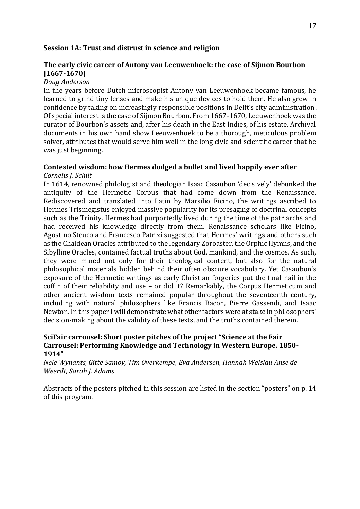#### <span id="page-16-0"></span>**Session 1A: Trust and distrust in science and religion**

# **The early civic career of Antony van Leeuwenhoek: the case of Sijmon Bourbon [1667-1670]**

#### *Doug Anderson*

In the years before Dutch microscopist Antony van Leeuwenhoek became famous, he learned to grind tiny lenses and make his unique devices to hold them. He also grew in confidence by taking on increasingly responsible positions in Delft's city administration. Of special interest is the case of Sijmon Bourbon. From 1667-1670, Leeuwenhoek was the curator of Bourbon's assets and, after his death in the East Indies, of his estate. Archival documents in his own hand show Leeuwenhoek to be a thorough, meticulous problem solver, attributes that would serve him well in the long civic and scientific career that he was just beginning.

# **Contested wisdom: how Hermes dodged a bullet and lived happily ever after**

*Cornelis J. Schilt*

In 1614, renowned philologist and theologian Isaac Casaubon 'decisively' debunked the antiquity of the Hermetic Corpus that had come down from the Renaissance. Rediscovered and translated into Latin by Marsilio Ficino, the writings ascribed to Hermes Trismegistus enjoyed massive popularity for its presaging of doctrinal concepts such as the Trinity. Hermes had purportedly lived during the time of the patriarchs and had received his knowledge directly from them. Renaissance scholars like Ficino, Agostino Steuco and Francesco Patrizi suggested that Hermes' writings and others such as the Chaldean Oracles attributed to the legendary Zoroaster, the Orphic Hymns, and the Sibylline Oracles, contained factual truths about God, mankind, and the cosmos. As such, they were mined not only for their theological content, but also for the natural philosophical materials hidden behind their often obscure vocabulary. Yet Casaubon's exposure of the Hermetic writings as early Christian forgeries put the final nail in the coffin of their reliability and use – or did it? Remarkably, the Corpus Hermeticum and other ancient wisdom texts remained popular throughout the seventeenth century, including with natural philosophers like Francis Bacon, Pierre Gassendi, and Isaac Newton. In this paper I will demonstrate what other factors were at stake in philosophers' decision-making about the validity of these texts, and the truths contained therein.

# **SciFair carrousel: Short poster pitches of the project "Science at the Fair Carrousel: Performing Knowledge and Technology in Western Europe, 1850- 1914"**

*Nele Wynants, Gitte Samoy, Tim Overkempe, Eva Andersen, Hannah Welslau Anse de Weerdt, Sarah J. Adams*

Abstracts of the posters pitched in this session are listed in the section "posters" on p. 14 of this program.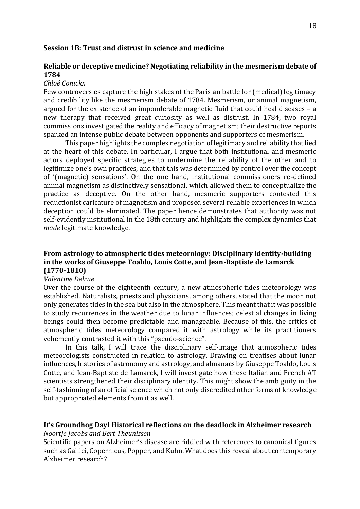#### <span id="page-17-0"></span>**Session 1B: Trust and distrust in science and medicine**

# **Reliable or deceptive medicine? Negotiating reliability in the mesmerism debate of 1784**

#### *Chloé Conickx*

Few controversies capture the high stakes of the Parisian battle for (medical) legitimacy and credibility like the mesmerism debate of 1784. Mesmerism, or animal magnetism, argued for the existence of an imponderable magnetic fluid that could heal diseases – a new therapy that received great curiosity as well as distrust. In 1784, two royal commissions investigated the reality and efficacy of magnetism; their destructive reports sparked an intense public debate between opponents and supporters of mesmerism.

This paper highlights the complex negotiation of legitimacy and reliability that lied at the heart of this debate. In particular, I argue that both institutional and mesmeric actors deployed specific strategies to undermine the reliability of the other and to legitimize one's own practices, and that this was determined by control over the concept of '(magnetic) sensations'. On the one hand, institutional commissioners re-defined animal magnetism as distinctively sensational, which allowed them to conceptualize the practice as deceptive. On the other hand, mesmeric supporters contested this reductionist caricature of magnetism and proposed several reliable experiences in which deception could be eliminated. The paper hence demonstrates that authority was not self-evidently institutional in the 18th century and highlights the complex dynamics that *made* legitimate knowledge.

# **From astrology to atmospheric tides meteorology: Disciplinary identity-building in the works of Giuseppe Toaldo, Louis Cotte, and Jean-Baptiste de Lamarck (1770-1810)**

#### *Valentine Delrue*

Over the course of the eighteenth century, a new atmospheric tides meteorology was established. Naturalists, priests and physicians, among others, stated that the moon not only generates tides in the sea but also in the atmosphere. This meant that it was possible to study recurrences in the weather due to lunar influences; celestial changes in living beings could then become predictable and manageable. Because of this, the critics of atmospheric tides meteorology compared it with astrology while its practitioners vehemently contrasted it with this "pseudo-science".

In this talk, I will trace the disciplinary self-image that atmospheric tides meteorologists constructed in relation to astrology. Drawing on treatises about lunar influences, histories of astronomy and astrology, and almanacs by Giuseppe Toaldo, Louis Cotte, and Jean-Baptiste de Lamarck, I will investigate how these Italian and French AT scientists strengthened their disciplinary identity. This might show the ambiguity in the self-fashioning of an official science which not only discredited other forms of knowledge but appropriated elements from it as well.

#### **It's Groundhog Day! Historical reflections on the deadlock in Alzheimer research**  *Noortje Jacobs and Bert Theunissen*

Scientific papers on Alzheimer's disease are riddled with references to canonical figures such as Galilei, Copernicus, Popper, and Kuhn. What does this reveal about contemporary

#### Alzheimer research?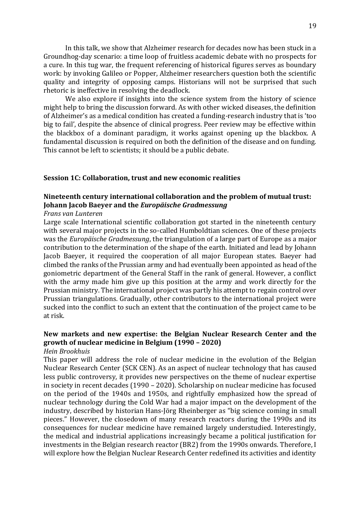In this talk, we show that Alzheimer research for decades now has been stuck in a Groundhog-day scenario: a time loop of fruitless academic debate with no prospects for a cure. In this tug war, the frequent referencing of historical figures serves as boundary work: by invoking Galileo or Popper, Alzheimer researchers question both the scientific quality and integrity of opposing camps. Historians will not be surprised that such rhetoric is ineffective in resolving the deadlock.

We also explore if insights into the science system from the history of science might help to bring the discussion forward. As with other wicked diseases, the definition of Alzheimer's as a medical condition has created a funding-research industry that is 'too big to fail', despite the absence of clinical progress. Peer review may be effective within the blackbox of a dominant paradigm, it works against opening up the blackbox. A fundamental discussion is required on both the definition of the disease and on funding. This cannot be left to scientists; it should be a public debate.

#### <span id="page-18-0"></span>**Session 1C: Collaboration, trust and new economic realities**

# **Nineteenth century international collaboration and the problem of mutual trust: Johann Jacob Baeyer and the** *Europäische Gradmessung*

#### *Frans van Lunteren*

Large scale International scientific collaboration got started in the nineteenth century with several major projects in the so-called Humboldtian sciences. One of these projects was the *Europäische Gradmessung*, the triangulation of a large part of Europe as a major contribution to the determination of the shape of the earth. Initiated and lead by Johann Jacob Baeyer, it required the cooperation of all major European states. Baeyer had climbed the ranks of the Prussian army and had eventually been appointed as head of the goniometric department of the General Staff in the rank of general. However, a conflict with the army made him give up this position at the army and work directly for the Prussian ministry. The international project was partly his attempt to regain control over Prussian triangulations. Gradually, other contributors to the international project were sucked into the conflict to such an extent that the continuation of the project came to be at risk.

# **New markets and new expertise: the Belgian Nuclear Research Center and the growth of nuclear medicine in Belgium (1990 – 2020)**

#### *Hein Brookhuis*

This paper will address the role of nuclear medicine in the evolution of the Belgian Nuclear Research Center (SCK CEN). As an aspect of nuclear technology that has caused less public controversy, it provides new perspectives on the theme of nuclear expertise in society in recent decades (1990 – 2020). Scholarship on nuclear medicine has focused on the period of the 1940s and 1950s, and rightfully emphasized how the spread of nuclear technology during the Cold War had a major impact on the development of the industry, described by historian Hans-Jörg Rheinberger as "big science coming in small pieces." However, the closedown of many research reactors during the 1990s and its consequences for nuclear medicine have remained largely understudied. Interestingly, the medical and industrial applications increasingly became a political justification for investments in the Belgian research reactor (BR2) from the 1990s onwards. Therefore, I will explore how the Belgian Nuclear Research Center redefined its activities and identity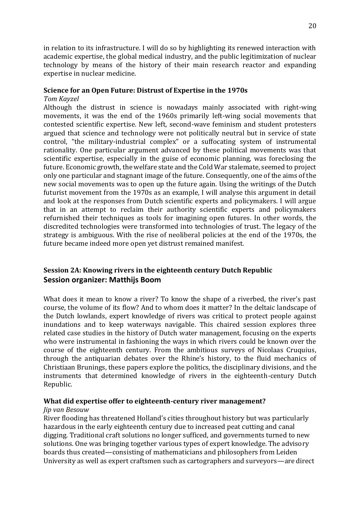in relation to its infrastructure. I will do so by highlighting its renewed interaction with academic expertise, the global medical industry, and the public legitimization of nuclear technology by means of the history of their main research reactor and expanding expertise in nuclear medicine.

#### **Science for an Open Future: Distrust of Expertise in the 1970s**

#### *Tom Kayzel*

Although the distrust in science is nowadays mainly associated with right-wing movements, it was the end of the 1960s primarily left-wing social movements that contested scientific expertise. New left, second-wave feminism and student protesters argued that science and technology were not politically neutral but in service of state control, "the military-industrial complex" or a suffocating system of instrumental rationality. One particular argument advanced by these political movements was that scientific expertise, especially in the guise of economic planning, was foreclosing the future. Economic growth, the welfare state and the Cold War stalemate, seemed to project only one particular and stagnant image of the future. Consequently, one of the aims of the new social movements was to open up the future again. Using the writings of the Dutch futurist movement from the 1970s as an example, I will analyse this argument in detail and look at the responses from Dutch scientific experts and policymakers. I will argue that in an attempt to reclaim their authority scientific experts and policymakers refurnished their techniques as tools for imagining open futures. In other words, the discredited technologies were transformed into technologies of trust. The legacy of the strategy is ambiguous. With the rise of neoliberal policies at the end of the 1970s, the future became indeed more open yet distrust remained manifest.

# <span id="page-19-0"></span>**Session 2A: Knowing rivers in the eighteenth century Dutch Republic Session organizer: Matthijs Boom**

What does it mean to know a river? To know the shape of a riverbed, the river's past course, the volume of its flow? And to whom does it matter? In the deltaic landscape of the Dutch lowlands, expert knowledge of rivers was critical to protect people against inundations and to keep waterways navigable. This chaired session explores three related case studies in the history of Dutch water management, focusing on the experts who were instrumental in fashioning the ways in which rivers could be known over the course of the eighteenth century. From the ambitious surveys of Nicolaas Cruquius, through the antiquarian debates over the Rhine's history, to the fluid mechanics of Christiaan Brunings, these papers explore the politics, the disciplinary divisions, and the instruments that determined knowledge of rivers in the eighteenth-century Dutch Republic.

# **What did expertise offer to eighteenth-century river management?**

#### *Jip van Besouw*

River flooding has threatened Holland's cities throughout history but was particularly hazardous in the early eighteenth century due to increased peat cutting and canal digging. Traditional craft solutions no longer sufficed, and governments turned to new solutions. One was bringing together various types of expert knowledge. The advisory boards thus created—consisting of mathematicians and philosophers from Leiden University as well as expert craftsmen such as cartographers and surveyors—are direct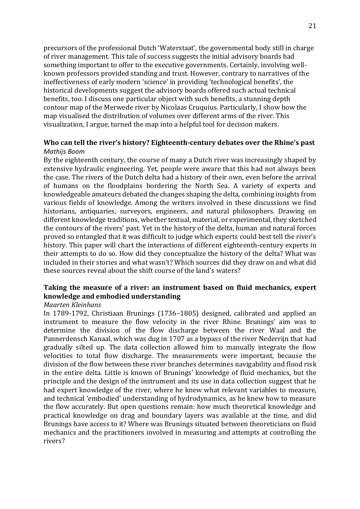precursors of the professional Dutch 'Waterstaat', the governmental body still in charge of river management. This tale of success suggests the initial advisory boards had something important to offer to the executive governments. Certainly, involving wellknown professors provided standing and trust. However, contrary to narratives of the ineffectiveness of early modern 'science' in providing 'technological benefits', the historical developments suggest the advisory boards offered such actual technical benefits, too. I discuss one particular object with such benefits, a stunning depth contour map of the Merwede river by Nicolaas Cruquius. Particularly, I show how the map visualised the distribution of volumes over different arms of the river. This visualization, I argue, turned the map into a helpful tool for decision makers.

# **Who can tell the river's history? Eighteenth-century debates over the Rhine's past** *Mathijs Boom*

By the eighteenth century, the course of many a Dutch river was increasingly shaped by extensive hydraulic engineering. Yet, people were aware that this had not always been the case. The rivers of the Dutch delta had a history of their own, even before the arrival of humans on the floodplains bordering the North Sea. A variety of experts and knowledgeable amateurs debated the changes shaping the delta, combining insights from various fields of knowledge. Among the writers involved in these discussions we find historians, antiquaries, surveyors, engineers, and natural philosophers. Drawing on different knowledge traditions, whether textual, material, or experimental, they sketched the contours of the rivers' past. Yet in the history of the delta, human and natural forces proved so entangled that it was difficult to judge which experts could best tell the river's history. This paper will chart the interactions of different eighteenth-century experts in their attempts to do so. How did they conceptualize the history of the delta? What was included in their stories and what wasn't? Which sources did they draw on and what did these sources reveal about the shift course of the land's waters?

# **Taking the measure of a river: an instrument based on fluid mechanics, expert knowledge and embodied understanding**

#### *Maarten Kleinhans*

In 1789-1792, Christiaan Brunings (1736–1805) designed, calibrated and applied an instrument to measure the flow velocity in the river Rhine. Brunings' aim was to determine the division of the flow discharge between the river Waal and the Pannerdensch Kanaal, which was dug in 1707 as a bypass of the river Nederrijn that had gradually silted up. The data collection allowed him to manually integrate the flow velocities to total flow discharge. The measurements were important, because the division of the flow between these river branches determines navigability and flood risk in the entire delta. Little is known of Brunings' knowledge of fluid mechanics, but the principle and the design of the instrument and its use in data collection suggest that he had expert knowledge of the river, where he knew what relevant variables to measure, and technical 'embodied' understanding of hydrodynamics, as he knew how to measure the flow accurately. But open questions remain: how much theoretical knowledge and practical knowledge on drag and boundary layers was available at the time, and did Brunings have access to it? Where was Brunings situated between theoreticians on fluid mechanics and the practitioners involved in measuring and attempts at controlling the rivers?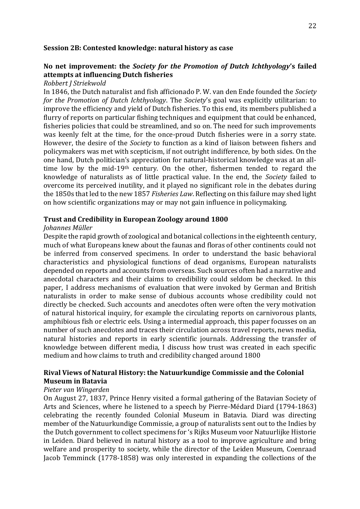#### <span id="page-21-0"></span>**Session 2B: Contested knowledge: natural history as case**

# **No net improvement: the** *Society for the Promotion of Dutch Ichthyology***'s failed attempts at influencing Dutch fisheries**

#### *Robbert J Striekwold*

In 1846, the Dutch naturalist and fish afficionado P. W. van den Ende founded the *Society for the Promotion of Dutch Ichthyology*. The *Society*'s goal was explicitly utilitarian: to improve the efficiency and yield of Dutch fisheries. To this end, its members published a flurry of reports on particular fishing techniques and equipment that could be enhanced, fisheries policies that could be streamlined, and so on. The need for such improvements was keenly felt at the time, for the once-proud Dutch fisheries were in a sorry state. However, the desire of the *Society* to function as a kind of liaison between fishers and policymakers was met with scepticism, if not outright indifference, by both sides. On the one hand, Dutch politician's appreciation for natural-historical knowledge was at an alltime low by the mid-19th century. On the other, fishermen tended to regard the knowledge of naturalists as of little practical value. In the end, the *Society* failed to overcome its perceived inutility, and it played no significant role in the debates during the 1850s that led to the new 1857 *Fisheries Law*. Reflecting on this failure may shed light on how scientific organizations may or may not gain influence in policymaking.

#### **Trust and Credibility in European Zoology around 1800**

#### *Johannes Müller*

Despite the rapid growth of zoological and botanical collections in the eighteenth century, much of what Europeans knew about the faunas and floras of other continents could not be inferred from conserved specimens. In order to understand the basic behavioral characteristics and physiological functions of dead organisms, European naturalists depended on reports and accounts from overseas. Such sources often had a narrative and anecdotal characters and their claims to credibility could seldom be checked. In this paper, I address mechanisms of evaluation that were invoked by German and British naturalists in order to make sense of dubious accounts whose credibility could not directly be checked. Such accounts and anecdotes often were often the very motivation of natural historical inquiry, for example the circulating reports on carnivorous plants, amphibious fish or electric eels. Using a intermedial approach, this paper focusses on an number of such anecdotes and traces their circulation across travel reports, news media, natural histories and reports in early scientific journals. Addressing the transfer of knowledge between different media, I discuss how trust was created in each specific medium and how claims to truth and credibility changed around 1800

### **Rival Views of Natural History: the Natuurkundige Commissie and the Colonial Museum in Batavia**

#### *Pieter van Wingerden*

On August 27, 1837, Prince Henry visited a formal gathering of the Batavian Society of Arts and Sciences, where he listened to a speech by Pierre-Médard Diard (1794-1863) celebrating the recently founded Colonial Museum in Batavia. Diard was directing member of the Natuurkundige Commissie, a group of naturalists sent out to the Indies by the Dutch government to collect specimens for 's Rijks Museum voor Natuurlijke Historie in Leiden. Diard believed in natural history as a tool to improve agriculture and bring welfare and prosperity to society, while the director of the Leiden Museum, Coenraad Jacob Temminck (1778-1858) was only interested in expanding the collections of the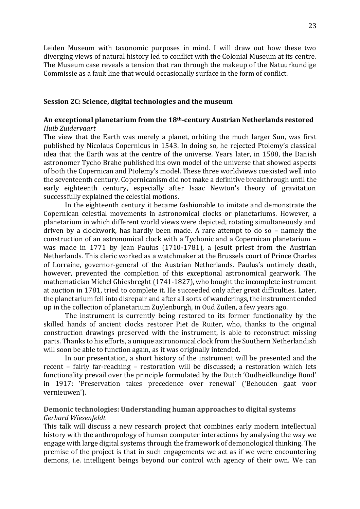Leiden Museum with taxonomic purposes in mind. I will draw out how these two diverging views of natural history led to conflict with the Colonial Museum at its centre. The Museum case reveals a tension that ran through the makeup of the Natuurkundige Commissie as a fault line that would occasionally surface in the form of conflict.

#### <span id="page-22-0"></span>**Session 2C: Science, digital technologies and the museum**

# **An exceptional planetarium from the 18th-century Austrian Netherlands restored** *Huib Zuidervaart*

The view that the Earth was merely a planet, orbiting the much larger Sun, was first published by Nicolaus Copernicus in 1543. In doing so, he rejected Ptolemy's classical idea that the Earth was at the centre of the universe. Years later, in 1588, the Danish astronomer Tycho Brahe published his own model of the universe that showed aspects of both the Copernican and Ptolemy's model. These three worldviews coexisted well into the seventeenth century. Copernicanism did not make a definitive breakthrough until the early eighteenth century, especially after Isaac Newton's theory of gravitation successfully explained the celestial motions.

In the eighteenth century it became fashionable to imitate and demonstrate the Copernican celestial movements in astronomical clocks or planetariums. However, a planetarium in which different world views were depicted, rotating simultaneously and driven by a clockwork, has hardly been made. A rare attempt to do so – namely the construction of an astronomical clock with a Tychonic and a Copernican planetarium – was made in 1771 by Jean Paulus (1710-1781), a Jesuit priest from the Austrian Netherlands. This cleric worked as a watchmaker at the Brussels court of Prince Charles of Lorraine, governor-general of the Austrian Netherlands. Paulus's untimely death, however, prevented the completion of this exceptional astronomical gearwork. The mathematician Michel Ghiesbreght (1741-1827), who bought the incomplete instrument at auction in 1781, tried to complete it. He succeeded only after great difficulties. Later, the planetarium fell into disrepair and after all sorts of wanderings, the instrument ended up in the collection of planetarium Zuylenburgh, in Oud Zuilen, a few years ago.

The instrument is currently being restored to its former functionality by the skilled hands of ancient clocks restorer Piet de Ruiter, who, thanks to the original construction drawings preserved with the instrument, is able to reconstruct missing parts. Thanks to his efforts, a unique astronomical clock from the Southern Netherlandish will soon be able to function again, as it was originally intended.

In our presentation, a short history of the instrument will be presented and the recent – fairly far-reaching – restoration will be discussed; a restoration which lets functionality prevail over the principle formulated by the Dutch 'Oudheidkundige Bond' in 1917: 'Preservation takes precedence over renewal' ('Behouden gaat voor vernieuwen').

#### **Demonic technologies: Understanding human approaches to digital systems**  *Gerhard Wiesenfeldt*

This talk will discuss a new research project that combines early modern intellectual history with the anthropology of human computer interactions by analysing the way we engage with large digital systems through the framework of demonological thinking. The premise of the project is that in such engagements we act as if we were encountering demons, i.e. intelligent beings beyond our control with agency of their own. We can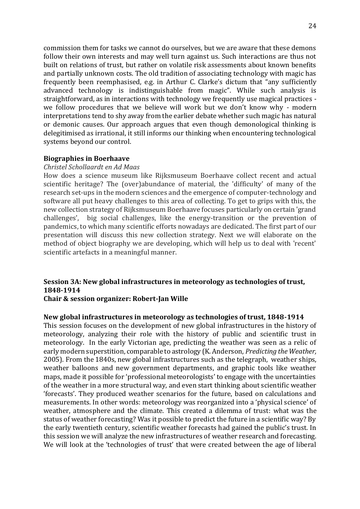commission them for tasks we cannot do ourselves, but we are aware that these demons follow their own interests and may well turn against us. Such interactions are thus not built on relations of trust, but rather on volatile risk assessments about known benefits and partially unknown costs. The old tradition of associating technology with magic has frequently been reemphasised, e.g. in Arthur C. Clarke's dictum that "any sufficiently advanced technology is indistinguishable from magic". While such analysis is straightforward, as in interactions with technology we frequently use magical practices we follow procedures that we believe will work but we don't know why - modern interpretations tend to shy away from the earlier debate whether such magic has natural or demonic causes. Our approach argues that even though demonological thinking is delegitimised as irrational, it still informs our thinking when encountering technological systems beyond our control.

#### **Biographies in Boerhaave**

#### *Christel Schollaardt en Ad Maas*

How does a science museum like Rijksmuseum Boerhaave collect recent and actual scientific heritage? The (over)abundance of material, the 'difficulty' of many of the research set-ups in the modern sciences and the emergence of computer-technology and software all put heavy challenges to this area of collecting. To get to grips with this, the new collection strategy of Rijksmuseum Boerhaave focuses particularly on certain 'grand challenges', big social challenges, like the energy-transition or the prevention of pandemics, to which many scientific efforts nowadays are dedicated. The first part of our presentation will discuss this new collection strategy. Next we will elaborate on the method of object biography we are developing, which will help us to deal with 'recent' scientific artefacts in a meaningful manner.

# <span id="page-23-0"></span>**Session 3A: New global infrastructures in meteorology as technologies of trust, 1848-1914**

#### **Chair & session organizer: Robert-Jan Wille**

#### **New global infrastructures in meteorology as technologies of trust, 1848-1914**

This session focuses on the development of new global infrastructures in the history of meteorology, analyzing their role with the history of public and scientific trust in meteorology. In the early Victorian age, predicting the weather was seen as a relic of early modern superstition, comparable to astrology (K. Anderson, *Predicting the Weather,* 2005). From the 1840s, new global infrastructures such as the telegraph, weather ships, weather balloons and new government departments, and graphic tools like weather maps, made it possible for 'professional meteorologists' to engage with the uncertainties of the weather in a more structural way, and even start thinking about scientific weather 'forecasts'. They produced weather scenarios for the future, based on calculations and measurements. In other words: meteorology was reorganized into a 'physical science' of weather, atmosphere and the climate. This created a dilemma of trust: what was the status of weather forecasting? Was it possible to predict the future in a scientific way? By the early twentieth century, scientific weather forecasts had gained the public's trust. In this session we will analyze the new infrastructures of weather research and forecasting. We will look at the 'technologies of trust' that were created between the age of liberal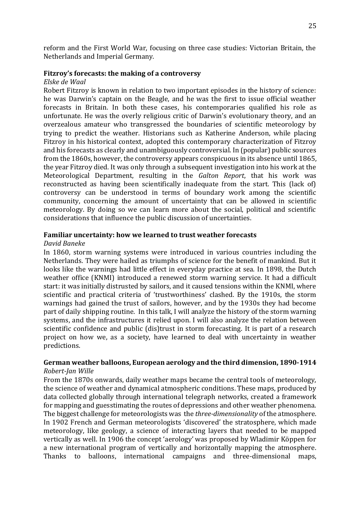reform and the First World War, focusing on three case studies: Victorian Britain, the Netherlands and Imperial Germany.

#### **Fitzroy's forecasts: the making of a controversy**

#### *Elske de Waal*

Robert Fitzroy is known in relation to two important episodes in the history of science: he was Darwin's captain on the Beagle, and he was the first to issue official weather forecasts in Britain. In both these cases, his contemporaries qualified his role as unfortunate. He was the overly religious critic of Darwin's evolutionary theory, and an overzealous amateur who transgressed the boundaries of scientific meteorology by trying to predict the weather. Historians such as Katherine Anderson, while placing Fitzroy in his historical context, adopted this contemporary characterization of Fitzroy and his forecasts as clearly and unambiguously controversial. In (popular) public sources from the 1860s, however, the controversy appears conspicuous in its absence until 1865, the year Fitzroy died. It was only through a subsequent investigation into his work at the Meteorological Department, resulting in the *Galton Report*, that his work was reconstructed as having been scientifically inadequate from the start. This (lack of) controversy can be understood in terms of boundary work among the scientific community, concerning the amount of uncertainty that can be allowed in scientific meteorology. By doing so we can learn more about the social, political and scientific considerations that influence the public discussion of uncertainties.

#### **Familiar uncertainty: how we learned to trust weather forecasts**

#### *David Baneke*

In 1860, storm warning systems were introduced in various countries including the Netherlands. They were hailed as triumphs of science for the benefit of mankind. But it looks like the warnings had little effect in everyday practice at sea. In 1898, the Dutch weather office (KNMI) introduced a renewed storm warning service. It had a difficult start: it was initially distrusted by sailors, and it caused tensions within the KNMI, where scientific and practical criteria of 'trustworthiness' clashed. By the 1910s, the storm warnings had gained the trust of sailors, however, and by the 1930s they had become part of daily shipping routine. In this talk, I will analyze the history of the storm warning systems, and the infrastructures it relied upon. I will also analyze the relation between scientific confidence and public (dis)trust in storm forecasting. It is part of a research project on how we, as a society, have learned to deal with uncertainty in weather predictions.

#### **German weather balloons, European aerology and the third dimension, 1890-1914** *Robert-Jan Wille*

From the 1870s onwards, daily weather maps became the central tools of meteorology, the science of weather and dynamical atmospheric conditions. These maps, produced by data collected globally through international telegraph networks, created a framework for mapping and guesstimating the routes of depressions and other weather phenomena. The biggest challenge for meteorologists was the *three-dimensionality* of the atmosphere. In 1902 French and German meteorologists 'discovered' the stratosphere, which made meteorology, like geology, a science of interacting layers that needed to be mapped vertically as well. In 1906 the concept 'aerology' was proposed by Wladimir Köppen for a new international program of vertically and horizontally mapping the atmosphere. Thanks to balloons, international campaigns and three-dimensional maps,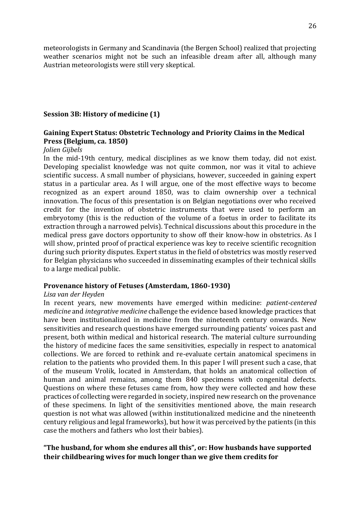meteorologists in Germany and Scandinavia (the Bergen School) realized that projecting weather scenarios might not be such an infeasible dream after all, although many Austrian meteorologists were still very skeptical.

#### <span id="page-25-0"></span>**Session 3B: History of medicine (1)**

# **Gaining Expert Status: Obstetric Technology and Priority Claims in the Medical Press (Belgium, ca. 1850)**

#### *Jolien Gijbels*

In the mid-19th century, medical disciplines as we know them today, did not exist. Developing specialist knowledge was not quite common, nor was it vital to achieve scientific success. A small number of physicians, however, succeeded in gaining expert status in a particular area. As I will argue, one of the most effective ways to become recognized as an expert around 1850, was to claim ownership over a technical innovation. The focus of this presentation is on Belgian negotiations over who received credit for the invention of obstetric instruments that were used to perform an embryotomy (this is the reduction of the volume of a foetus in order to facilitate its extraction through a narrowed pelvis). Technical discussions about this procedure in the medical press gave doctors opportunity to show off their know-how in obstetrics. As I will show, printed proof of practical experience was key to receive scientific recognition during such priority disputes. Expert status in the field of obstetrics was mostly reserved for Belgian physicians who succeeded in disseminating examples of their technical skills to a large medical public.

#### **Provenance history of Fetuses (Amsterdam, 1860-1930)**

#### *Lisa van der Heyden*

In recent years, new movements have emerged within medicine: *patient-centered medicine* and *integrative medicine* challenge the evidence based knowledge practices that have been institutionalized in medicine from the nineteenth century onwards. New sensitivities and research questions have emerged surrounding patients' voices past and present, both within medical and historical research. The material culture surrounding the history of medicine faces the same sensitivities, especially in respect to anatomical collections. We are forced to rethink and re-evaluate certain anatomical specimens in relation to the patients who provided them. In this paper I will present such a case, that of the museum Vrolik, located in Amsterdam, that holds an anatomical collection of human and animal remains, among them 840 specimens with congenital defects. Questions on where these fetuses came from, how they were collected and how these practices of collecting were regarded in society, inspired new research on the provenance of these specimens. In light of the sensitivities mentioned above, the main research question is not what was allowed (within institutionalized medicine and the nineteenth century religious and legal frameworks), but how it was perceived by the patients (in this case the mothers and fathers who lost their babies).

# **"The husband, for whom she endures all this", or: How husbands have supported their childbearing wives for much longer than we give them credits for**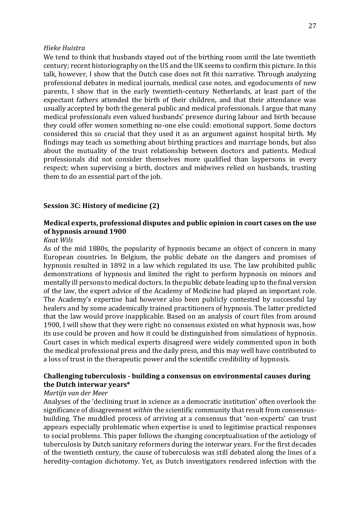#### *Hieke Huistra*

We tend to think that husbands stayed out of the birthing room until the late twentieth century; recent historiography on the US and the UK seems to confirm this picture. In this talk, however, I show that the Dutch case does not fit this narrative. Through analyzing professional debates in medical journals, medical case notes, and egodocuments of new parents, I show that in the early twentieth-century Netherlands, at least part of the expectant fathers attended the birth of their children, and that their attendance was usually accepted by both the general public and medical professionals. I argue that many medical professionals even valued husbands' presence during labour and birth because they could offer women something no-one else could: emotional support. Some doctors considered this so crucial that they used it as an argument against hospital birth. My findings may teach us something about birthing practices and marriage bonds, but also about the mutuality of the trust relationship between doctors and patients. Medical professionals did not consider themselves more qualified than laypersons in every respect; when supervising a birth, doctors and midwives relied on husbands, trusting them to do an essential part of the job.

#### <span id="page-26-0"></span>**Session 3C: History of medicine (2)**

# **Medical experts, professional disputes and public opinion in court cases on the use of hypnosis around 1900**

#### *Kaat Wils*

As of the mid 1880s, the popularity of hypnosis became an object of concern in many European countries. In Belgium, the public debate on the dangers and promises of hypnosis resulted in 1892 in a law which regulated its use. The law prohibited public demonstrations of hypnosis and limited the right to perform hypnosis on minors and mentally ill persons to medical doctors. In the public debate leading up to the final version of the law, the expert advice of the Academy of Medicine had played an important role. The Academy's expertise had however also been publicly contested by successful lay healers and by some academically trained practitioners of hypnosis. The latter predicted that the law would prove inapplicable. Based on an analysis of court files from around 1900, I will show that they were right: no consensus existed on what hypnosis was, how its use could be proven and how it could be distinguished from simulations of hypnosis. Court cases in which medical experts disagreed were widely commented upon in both the medical professional press and the daily press, and this may well have contributed to a loss of trust in the therapeutic power and the scientific credibility of hypnosis.

#### **Challenging tuberculosis - building a consensus on environmental causes during the Dutch interwar years\***

#### *Martijn van der Meer*

Analyses of the 'declining trust in science as a democratic institution' often overlook the significance of disagreement *within* the scientific community that result from consensusbuilding. The muddled process of arriving at a consensus that 'non-experts' can trust appears especially problematic when expertise is used to legitimise practical responses to social problems. This paper follows the changing conceptualisation of the aetiology of tuberculosis by Dutch sanitary reformers during the interwar years. For the first decades of the twentieth century, the cause of tuberculosis was still debated along the lines of a heredity-contagion dichotomy. Yet, as Dutch investigators rendered infection with the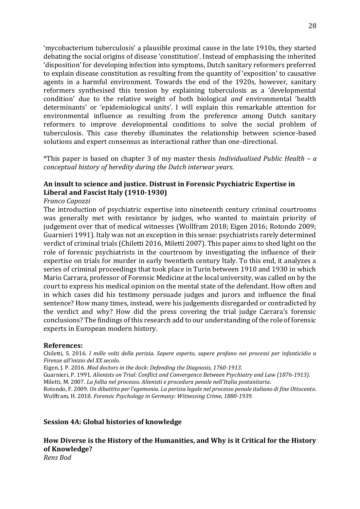'mycobacterium tuberculosis' a plausible proximal cause in the late 1910s, they started debating the social origins of disease 'constitution'. Instead of emphasising the inherited 'disposition' for developing infection into symptoms, Dutch sanitary reformers preferred to explain disease constitution as resulting from the quantity of 'exposition' to causative agents in a harmful environment. Towards the end of the 1920s, however, sanitary reformers synthesised this tension by explaining tuberculosis as a 'developmental condition' due to the relative weight of both biological *and* environmental 'health determinants' or 'epidemiological units'. I will explain this remarkable attention for environmental influence as resulting from the preference among Dutch sanitary reformers to improve developmental conditions to solve the social problem of tuberculosis. This case thereby illuminates the relationship between science-based solutions and expert consensus as interactional rather than one-directional.

\*This paper is based on chapter 3 of my master thesis *Individualised Public Health – a conceptual history of heredity during the Dutch interwar years*.

# **An insult to science and justice. Distrust in Forensic Psychiatric Expertise in Liberal and Fascist Italy (1910-1930)**

#### *Franco Capozzi*

The introduction of psychiatric expertise into nineteenth century criminal courtrooms was generally met with resistance by judges, who wanted to maintain priority of judgement over that of medical witnesses (Wollfram 2018; Eigen 2016; Rotondo 2009; Guarnieri 1991). Italy was not an exception in this sense: psychiatrists rarely determined verdict of criminal trials (Chiletti 2016, Miletti 2007). This paper aims to shed light on the role of forensic psychiatrists in the courtroom by investigating the influence of their expertise on trials for murder in early twentieth century Italy. To this end, it analyzes a series of criminal proceedings that took place in Turin between 1910 and 1930 in which Mario Carrara, professor of Forensic Medicine at the local university, was called on by the court to express his medical opinion on the mental state of the defendant. How often and in which cases did his testimony persuade judges and jurors and influence the final sentence? How many times, instead, were his judgements disregarded or contradicted by the verdict and why? How did the press covering the trial judge Carrara's forensic conclusions? The findings of this research add to our understanding of the role of forensic experts in European modern history.

#### **References:**

Chiletti, S. 2016. *I mille volti della perizia. Sapere esperto, sapere profano nei processi per infanticidio a Firenze all'inizio del XX secolo*.

Eigen, J. P. 2016. *Mad doctors in the dock: Defending the Diagnosis, 1760-1913*.

Guarnieri, P. 1991. *Alienists on Trial: Conflict and Convergence Between Psychiatry and Law (1876-1913)*. Miletti, M. 2007. *La follia nel processo. Alienisti e procedura penale nell'Italia postunitaria*.

Rotondo, F. 2009. *Un dibattito per l'egemonia. La perizia legale nel processo penale italiano di fine Ottocento*. Wolffram, H. 2018. *Forensic Psychology in Germany: Witnessing Crime, 1880-1939*.

#### <span id="page-27-0"></span>**Session 4A: Global histories of knowledge**

**How Diverse is the History of the Humanities, and Why is it Critical for the History of Knowledge?** *Rens Bod*

28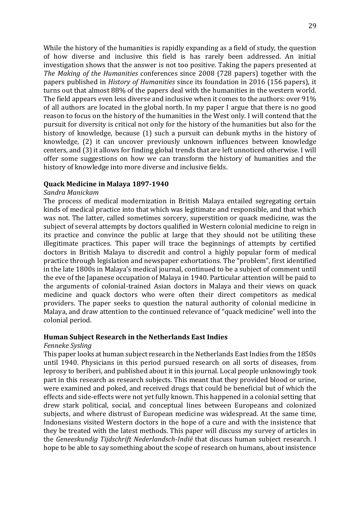While the history of the humanities is rapidly expanding as a field of study, the question of how diverse and inclusive this field is has rarely been addressed. An initial investigation shows that the answer is not too positive. Taking the papers presented at *The Making of the Humanities* conferences since 2008 (728 papers) together with the papers published in *History of Humanities* since its foundation in 2016 (156 papers), it turns out that almost 88% of the papers deal with the humanities in the western world. The field appears even less diverse and inclusive when it comes to the authors: over 91% of all authors are located in the global north. In my paper I argue that there is no good reason to focus on the history of the humanities in the West only. I will contend that the pursuit for diversity is critical not only for the history of the humanities but also for the history of knowledge, because (1) such a pursuit can debunk myths in the history of knowledge, (2) it can uncover previously unknown influences between knowledge centers, and (3) it allows for finding global trends that are left unnoticed otherwise. I will offer some suggestions on how we can transform the history of humanities and the history of knowledge into more diverse and inclusive fields.

#### **Quack Medicine in Malaya 1897-1940**

#### *Sandra Manickam*

The process of medical modernization in British Malaya entailed segregating certain kinds of medical practice into that which was legitimate and responsible, and that which was not. The latter, called sometimes sorcery, superstition or quack medicine, was the subject of several attempts by doctors qualified in Western colonial medicine to reign in its practice and convince the public at large that they should not be utiliting these illegitimate practices. This paper will trace the beginnings of attempts by certified doctors in British Malaya to discredit and control a highly popular form of medical practice through legislation and newspaper exhortations. The "problem", first identified in the late 1800s in Malaya's medical journal, continued to be a subject of comment until the eve of the Japanese occupation of Malaya in 1940. Particular attention will be paid to the arguments of colonial-trained Asian doctors in Malaya and their views on quack medicine and quack doctors who were often their direct competitors as medical providers. The paper seeks to question the natural authority of colonial medicine in Malaya, and draw attention to the continued relevance of "quack medicine" well into the colonial period.

# **Human Subject Research in the Netherlands East Indies**

#### *Fenneke Sysling*

This paper looks at human subject research in the Netherlands East Indies from the 1850s until 1940. Physicians in this period pursued research on all sorts of diseases, from leprosy to beriberi, and published about it in this journal. Local people unknowingly took part in this research as research subjects. This meant that they provided blood or urine, were examined and poked, and received drugs that could be beneficial but of which the effects and side-effects were not yet fully known. This happened in a colonial setting that drew stark political, social, and conceptual lines between Europeans and colonized subjects, and where distrust of European medicine was widespread. At the same time, Indonesians visited Western doctors in the hope of a cure and with the insistence that they be treated with the latest methods. This paper will discuss my survey of articles in the *Geneeskundig Tijdschrift Nederlandsch-Indië* that discuss human subject research. I hope to be able to say something about the scope of research on humans, about insistence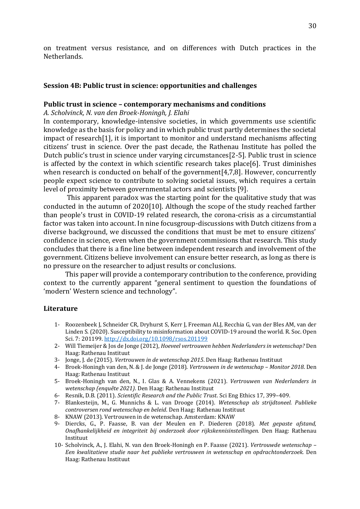on treatment versus resistance, and on differences with Dutch practices in the Netherlands.

#### <span id="page-29-0"></span>**Session 4B: Public trust in science: opportunities and challenges**

#### **Public trust in science – contemporary mechanisms and conditions**

*A. Scholvinck, N. van den Broek-Honingh, J. Elahi* 

In contemporary, knowledge-intensive societies, in which governments use scientific knowledge as the basis for policy and in which public trust partly determines the societal impact of research[1], it is important to monitor and understand mechanisms affecting citizens' trust in science. Over the past decade, the Rathenau Institute has polled the Dutch public's trust in science under varying circumstances[2-5]. Public trust in science is affected by the context in which scientific research takes place[6]. Trust diminishes when research is conducted on behalf of the government<sup>[4,7,8]</sup>. However, concurrently people expect science to contribute to solving societal issues, which requires a certain level of proximity between governmental actors and scientists [9].

This apparent paradox was the starting point for the qualitative study that was conducted in the autumn of 2020[10]. Although the scope of the study reached farther than people's trust in COVID-19 related research, the corona-crisis as a circumstantial factor was taken into account. In nine focusgroup-discussions with Dutch citizens from a diverse background, we discussed the conditions that must be met to ensure citizens' confidence in science, even when the government commissions that research. This study concludes that there is a fine line between independent research and involvement of the government. Citizens believe involvement can ensure better research, as long as there is no pressure on the researcher to adjust results or conclusions.

This paper will provide a contemporary contribution to the conference, providing context to the currently apparent "general sentiment to question the foundations of 'modern' Western science and technology".

#### **Literature**

- 1- Roozenbeek J, Schneider CR, Dryhurst S, Kerr J, Freeman ALJ, Recchia G, van der Bles AM, van der Linden S. (2020). Susceptibility to misinformation about COVID-19 around the world. R. Soc. Open Sci. 7: 201199[. http://dx.doi.org/10.1098/rsos.201199](http://dx.doi.org/10.1098/rsos.201199)
- 2- Will Tiemeijer & Jos de Jonge (2012), *Hoeveel vertrouwen hebben Nederlanders in wetenschap?* Den Haag: Rathenau Instituut
- 3- Jonge, J. de (2015). *Vertrouwen in de wetenschap 2015*. Den Haag: Rathenau Instituut
- 4- Broek-Honingh van den, N. & J. de Jonge (2018). *Vertrouwen in de wetenschap – Monitor 2018*. Den Haag: Rathenau Instituut
- 5- Broek-Honingh van den, N., I. Glas & A. Vennekens (2021). *Vertrouwen van Nederlanders in wetenschap (enquête 2021)*. Den Haag: Rathenau Instituut
- 6- Resnik, D.B. (2011). *Scientific Research and the Public Trust*. Sci Eng Ethics 17, 399–409.
- 7- Blankesteijn, M., G. Munnichs & L. van Drooge (2014). *Wetenschap als strijdtoneel. Publieke controversen rond wetenschap en beleid*. Den Haag: Rathenau Instituut
- 8- KNAW (2013). Vertrouwen in de wetenschap. Amsterdam: KNAW
- 9- Diercks, G., P. Faasse, B. van der Meulen en P. Diederen (2018). *Met gepaste afstand, Onafhankelijkheid en integriteit bij onderzoek door rijkskennisinstellingen.* Den Haag: Rathenau Instituut
- 10- Scholvinck, A., J. Elahi, N. van den Broek-Honingh en P. Faasse (2021). *Vertrouwde wetenschap – Een kwalitatieve studie naar het publieke vertrouwen in wetenschap en opdrachtonderzoek.* Den Haag: Rathenau Instituut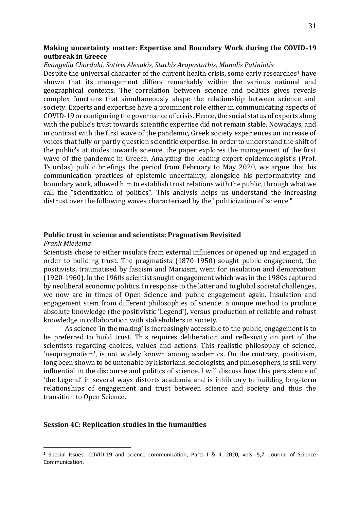#### **Making uncertainty matter: Expertise and Boundary Work during the COVID-19 outbreak in Greece**

#### *Evangelia Chordaki, Sotiris Alexakis, Stathis Arapostathis, Manolis Patiniotis*

Despite the universal character of the current health crisis, some early researches<sup>1</sup> have shown that its management differs remarkably within the various national and geographical contexts. The correlation between science and politics gives reveals complex functions that simultaneously shape the relationship between science and society. Experts and expertise have a prominent role either in communicating aspects of COVID-19 or configuring the governance of crisis. Hence, the social status of experts along with the public's trust towards scientific expertise did not remain stable. Nowadays, and in contrast with the first wave of the pandemic, Greek society experiences an increase of voices that fully or partly question scientific expertise. In order to understand the shift of the public's attitudes towards science, the paper explores the management of the first wave of the pandemic in Greece. Analyzing the leading expert epidemiologist's (Prof. Tsiordas) public briefings the period from February to May 2020, we argue that his communication practices of epistemic uncertainty, alongside his performativity and boundary work, allowed him to establish trust relations with the public, through what we call the "scientization of politics". This analysis helps us understand the increasing distrust over the following waves characterized by the "politicization of science."

#### **Public trust in science and scientists: Pragmatism Revisited**

#### *Frank Miedema*

Scientists chose to either insulate from external influences or opened up and engaged in order to building trust. The pragmatists (1870-1950) sought public engagement, the positivists, traumatised by fascism and Marxism, went for insulation and demarcation (1920-1960). In the 1960s scientist sought engagement which was in the 1980s captured by neoliberal economic politics. In response to the latter and to global societal challenges, we now are in times of Open Science and public engagement again. Insulation and engagement stem from different philosophies of science: a unique method to produce absolute knowledge (the positivistic 'Legend'), versus production of reliable and robust knowledge in collaboration with stakeholders in society.

As science 'in the making' is increasingly accessible to the public, engagement is to be preferred to build trust. This requires deliberation and reflexivity on part of the scientists regarding choices, values and actions. This realistic philosophy of science, 'neopragmatism', is not widely known among academics. On the contrary, positivism, long been shown to be untenable by historians, sociologists, and philosophers, is still very influential in the discourse and politics of science. I will discuss how this persistence of 'the Legend' in several ways distorts academia and is inhibitory to building long-term relationships of engagement and trust between science and society and thus the transition to Open Science.

#### <span id="page-30-0"></span>**Session 4C: Replication studies in the humanities**

<sup>1</sup> Special Issues: COVID-19 and science communication, Parts I & II, 2020, vols. 5,7. Journal of Science Communication.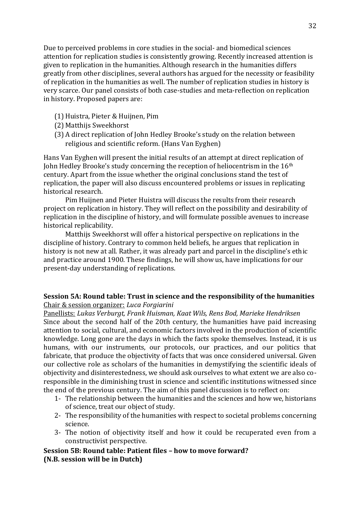Due to perceived problems in core studies in the social- and biomedical sciences attention for replication studies is consistently growing. Recently increased attention is given to replication in the humanities. Although research in the humanities differs greatly from other disciplines, several authors has argued for the necessity or feasibility of replication in the humanities as well. The number of replication studies in history is very scarce. Our panel consists of both case-studies and meta-reflection on replication in history. Proposed papers are:

- (1) Huistra, Pieter & Huijnen, Pim
- (2) Matthijs Sweekhorst
- (3) A direct replication of John Hedley Brooke's study on the relation between religious and scientific reform. (Hans Van Eyghen)

Hans Van Eyghen will present the initial results of an attempt at direct replication of John Hedley Brooke's study concerning the reception of heliocentrism in the 16<sup>th</sup> century. Apart from the issue whether the original conclusions stand the test of replication, the paper will also discuss encountered problems or issues in replicating historical research.

Pim Huijnen and Pieter Huistra will discuss the results from their research project on replication in history. They will reflect on the possibility and desirability of replication in the discipline of history, and will formulate possible avenues to increase historical replicability.

Matthijs Sweekhorst will offer a historical perspective on replications in the discipline of history. Contrary to common held beliefs, he argues that replication in history is not new at all. Rather, it was already part and parcel in the discipline's ethic and practice around 1900. These findings, he will show us, have implications for our present-day understanding of replications.

# <span id="page-31-0"></span>**Session 5A: Round table: Trust in science and the responsibility of the humanities** Chair & session organizer: *Luca Forgiarini*

Panellists: *Lukas Verburgt, Frank Huisman, Kaat Wils, Rens Bod, Marieke Hendriksen* Since about the second half of the 20th century, the humanities have paid increasing attention to social, cultural, and economic factors involved in the production of scientific knowledge. Long gone are the days in which the facts spoke themselves. Instead, it is us humans, with our instruments, our protocols, our practices, and our politics that fabricate, that produce the objectivity of facts that was once considered universal. Given our collective role as scholars of the humanities in demystifying the scientific ideals of objectivity and disinterestedness, we should ask ourselves to what extent we are also coresponsible in the diminishing trust in science and scientific institutions witnessed since the end of the previous century. The aim of this panel discussion is to reflect on:

- 1- The relationship between the humanities and the sciences and how we, historians of science, treat our object of study.
- 2- The responsibility of the humanities with respect to societal problems concerning science.
- 3- The notion of objectivity itself and how it could be recuperated even from a constructivist perspective.

# <span id="page-31-1"></span>**Session 5B: Round table: Patient files – how to move forward? (N.B. session will be in Dutch)**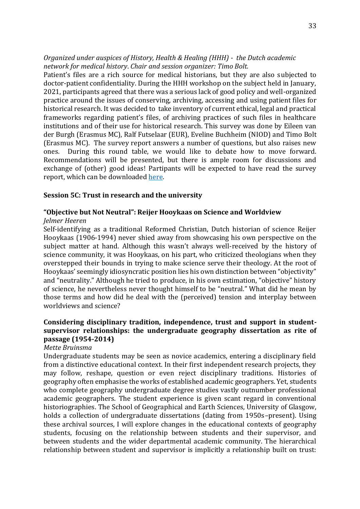*Organized under auspices of History, Health & Healing (HHH) - the Dutch academic network for medical history*. *Chair and session organizer: Timo Bolt.*

Patient's files are a rich source for medical historians, but they are also subjected to doctor-patient confidentiality. During the HHH workshop on the subject held in January, 2021, participants agreed that there was a serious lack of good policy and well-organized practice around the issues of conserving, archiving, accessing and using patient files for historical research. It was decided to take inventory of current ethical, legal and practical frameworks regarding patient's files, of archiving practices of such files in healthcare institutions and of their use for historical research. This survey was done by Eileen van der Burgh (Erasmus MC), Ralf Futselaar (EUR), Eveline Buchheim (NIOD) and Timo Bolt (Erasmus MC). The survey report answers a number of questions, but also raises new ones. During this round table, we would like to debate how to move forward. Recommendations will be presented, but there is ample room for discussions and exchange of (other) good ideas! Partipants will be expected to have read the survey report, which can be downloade[d here.](https://www.historyhealthhealing.nl/wp-content/uploads/2022/03/Patientendossiers-en-privacy-verslag-def.pdf)

#### <span id="page-32-0"></span>**Session 5C: Trust in research and the university**

#### **"Objective but Not Neutral": Reijer Hooykaas on Science and Worldview**

#### *Jelmer Heeren*

Self-identifying as a traditional Reformed Christian, Dutch historian of science Reijer Hooykaas (1906-1994) never shied away from showcasing his own perspective on the subject matter at hand. Although this wasn't always well-received by the history of science community, it was Hooykaas, on his part, who criticized theologians when they overstepped their bounds in trying to make science serve their theology. At the root of Hooykaas' seemingly idiosyncratic position lies his own distinction between "objectivity" and "neutrality." Although he tried to produce, in his own estimation, "objective" history of science, he nevertheless never thought himself to be "neutral." What did he mean by those terms and how did he deal with the (perceived) tension and interplay between worldviews and science?

# **Considering disciplinary tradition, independence, trust and support in studentsupervisor relationships: the undergraduate geography dissertation as rite of passage (1954-2014)**

#### *Mette Bruinsma*

Undergraduate students may be seen as novice academics, entering a disciplinary field from a distinctive educational context. In their first independent research projects, they may follow, reshape, question or even reject disciplinary traditions. Histories of geography often emphasise the works of established academic geographers. Yet, students who complete geography undergraduate degree studies vastly outnumber professional academic geographers. The student experience is given scant regard in conventional historiographies. The School of Geographical and Earth Sciences, University of Glasgow, holds a collection of undergraduate dissertations (dating from 1950s–present). Using these archival sources, I will explore changes in the educational contexts of geography students, focusing on the relationship between students and their supervisor, and between students and the wider departmental academic community. The hierarchical relationship between student and supervisor is implicitly a relationship built on trust: